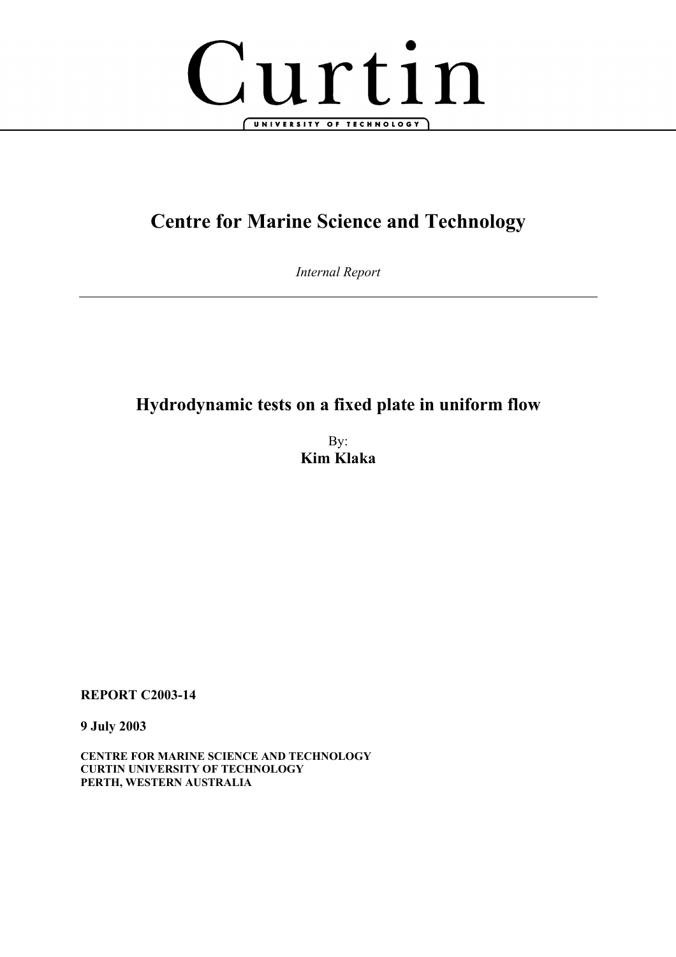

# **Centre for Marine Science and Technology**

*Internal Report* 

# **Hydrodynamic tests on a fixed plate in uniform flow**

By: **Kim Klaka** 

**REPORT C2003-14** 

**9 July 2003** 

**CENTRE FOR MARINE SCIENCE AND TECHNOLOGY CURTIN UNIVERSITY OF TECHNOLOGY PERTH, WESTERN AUSTRALIA**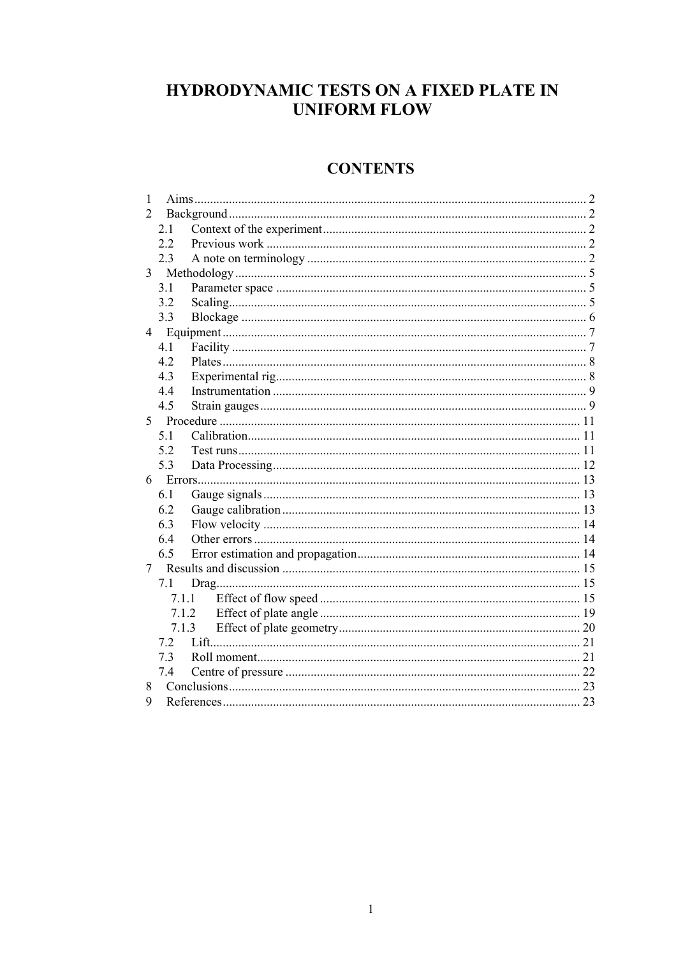# HYDRODYNAMIC TESTS ON A FIXED PLATE IN **UNIFORM FLOW**

# **CONTENTS**

| 1               |       |       |  |
|-----------------|-------|-------|--|
| 2               |       |       |  |
|                 | 2.1   |       |  |
|                 | 2.2   |       |  |
|                 | 2.3   |       |  |
| 3               |       |       |  |
|                 | 3.1   |       |  |
|                 | 3.2   |       |  |
|                 | 3.3   |       |  |
| $4\overline{ }$ |       |       |  |
|                 | 4.1   |       |  |
|                 | 42    |       |  |
|                 | 4.3   |       |  |
|                 | 4.4   |       |  |
|                 | 4.5   |       |  |
| 5               |       |       |  |
|                 | 5.1   |       |  |
|                 | 52    |       |  |
|                 | 5.3   |       |  |
| 6               |       |       |  |
|                 | 6.1   |       |  |
|                 | 6.2   |       |  |
|                 | 6.3   |       |  |
|                 | 6.4   |       |  |
|                 | 6.5   |       |  |
| 7               |       |       |  |
|                 | 7.1   |       |  |
|                 |       | 7.1.1 |  |
|                 |       | 7.1.2 |  |
|                 | 7.1.3 |       |  |
|                 | 72    |       |  |
|                 | 7.3   |       |  |
|                 | 7.4   |       |  |
| 8               |       |       |  |
| 9               |       |       |  |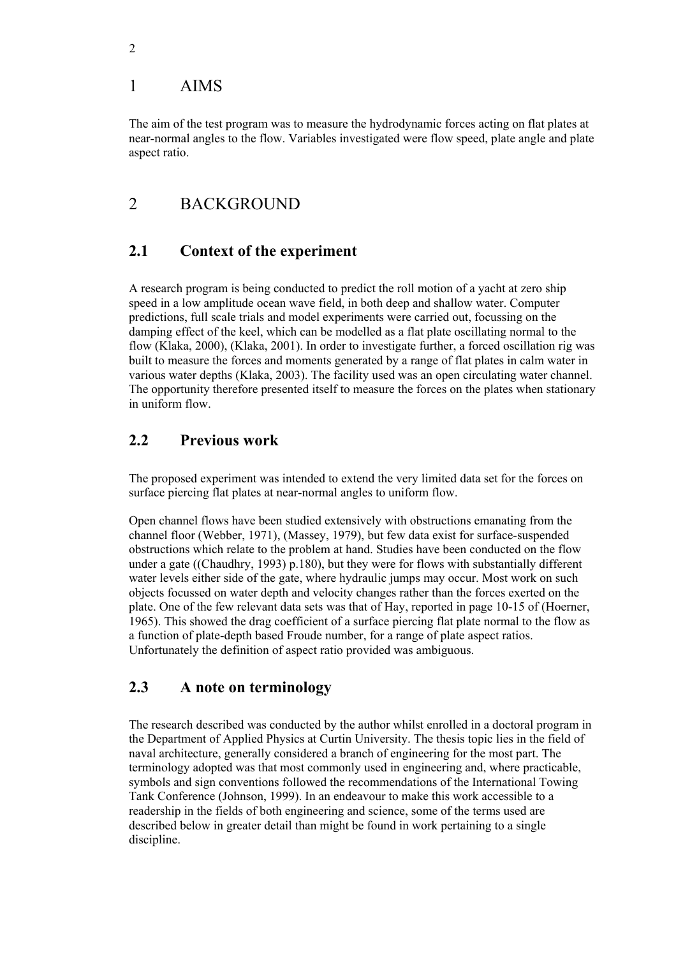### 1 AIMS

The aim of the test program was to measure the hydrodynamic forces acting on flat plates at near-normal angles to the flow. Variables investigated were flow speed, plate angle and plate aspect ratio.

## 2 BACKGROUND

### **2.1 Context of the experiment**

A research program is being conducted to predict the roll motion of a yacht at zero ship speed in a low amplitude ocean wave field, in both deep and shallow water. Computer predictions, full scale trials and model experiments were carried out, focussing on the damping effect of the keel, which can be modelled as a flat plate oscillating normal to the flow (Klaka, 2000), (Klaka, 2001). In order to investigate further, a forced oscillation rig was built to measure the forces and moments generated by a range of flat plates in calm water in various water depths (Klaka, 2003). The facility used was an open circulating water channel. The opportunity therefore presented itself to measure the forces on the plates when stationary in uniform flow.

### **2.2 Previous work**

The proposed experiment was intended to extend the very limited data set for the forces on surface piercing flat plates at near-normal angles to uniform flow.

Open channel flows have been studied extensively with obstructions emanating from the channel floor (Webber, 1971), (Massey, 1979), but few data exist for surface-suspended obstructions which relate to the problem at hand. Studies have been conducted on the flow under a gate ((Chaudhry, 1993) p.180), but they were for flows with substantially different water levels either side of the gate, where hydraulic jumps may occur. Most work on such objects focussed on water depth and velocity changes rather than the forces exerted on the plate. One of the few relevant data sets was that of Hay, reported in page 10-15 of (Hoerner, 1965). This showed the drag coefficient of a surface piercing flat plate normal to the flow as a function of plate-depth based Froude number, for a range of plate aspect ratios. Unfortunately the definition of aspect ratio provided was ambiguous.

#### **2.3 A note on terminology**

The research described was conducted by the author whilst enrolled in a doctoral program in the Department of Applied Physics at Curtin University. The thesis topic lies in the field of naval architecture, generally considered a branch of engineering for the most part. The terminology adopted was that most commonly used in engineering and, where practicable, symbols and sign conventions followed the recommendations of the International Towing Tank Conference (Johnson, 1999). In an endeavour to make this work accessible to a readership in the fields of both engineering and science, some of the terms used are described below in greater detail than might be found in work pertaining to a single discipline.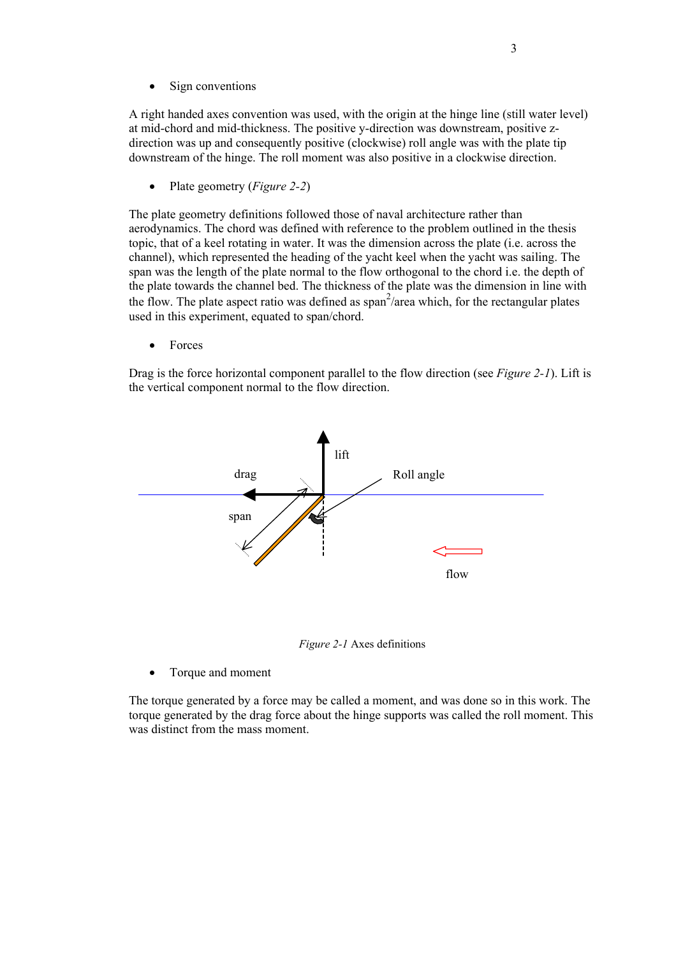• Sign conventions

A right handed axes convention was used, with the origin at the hinge line (still water level) at mid-chord and mid-thickness. The positive y-direction was downstream, positive zdirection was up and consequently positive (clockwise) roll angle was with the plate tip downstream of the hinge. The roll moment was also positive in a clockwise direction.

• Plate geometry (*Figure 2-2*)

The plate geometry definitions followed those of naval architecture rather than aerodynamics. The chord was defined with reference to the problem outlined in the thesis topic, that of a keel rotating in water. It was the dimension across the plate (i.e. across the channel), which represented the heading of the yacht keel when the yacht was sailing. The span was the length of the plate normal to the flow orthogonal to the chord i.e. the depth of the plate towards the channel bed. The thickness of the plate was the dimension in line with the flow. The plate aspect ratio was defined as  $\text{span}^2/\text{area}$  which, for the rectangular plates used in this experiment, equated to span/chord.

• Forces

Drag is the force horizontal component parallel to the flow direction (see *Figure 2-1*). Lift is the vertical component normal to the flow direction.



*Figure 2-1* Axes definitions

• Torque and moment

The torque generated by a force may be called a moment, and was done so in this work. The torque generated by the drag force about the hinge supports was called the roll moment. This was distinct from the mass moment.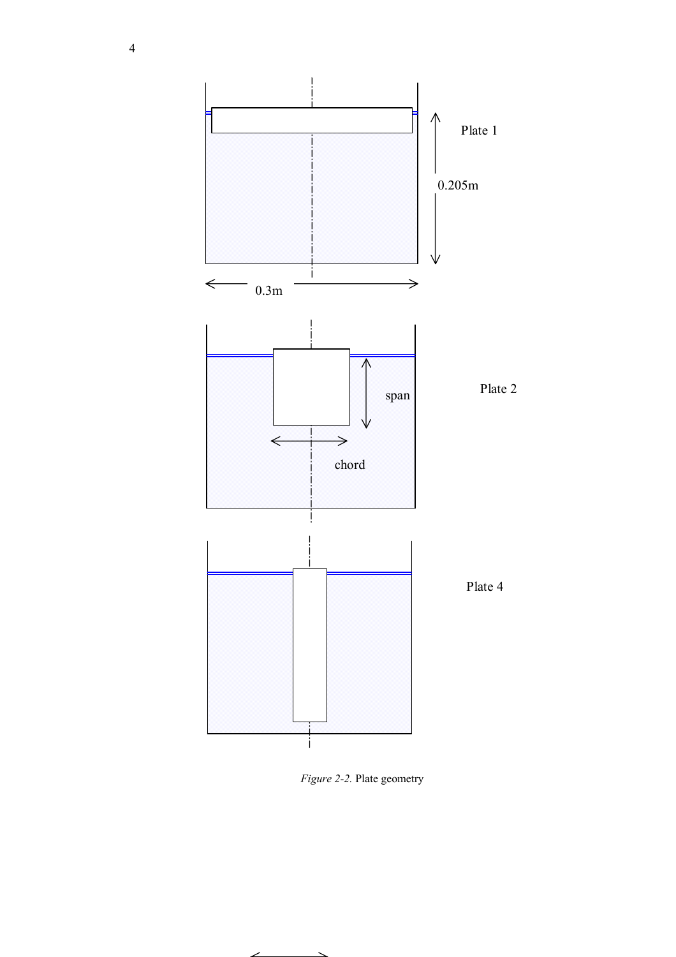

*Figure 2-2.* Plate geometry

╱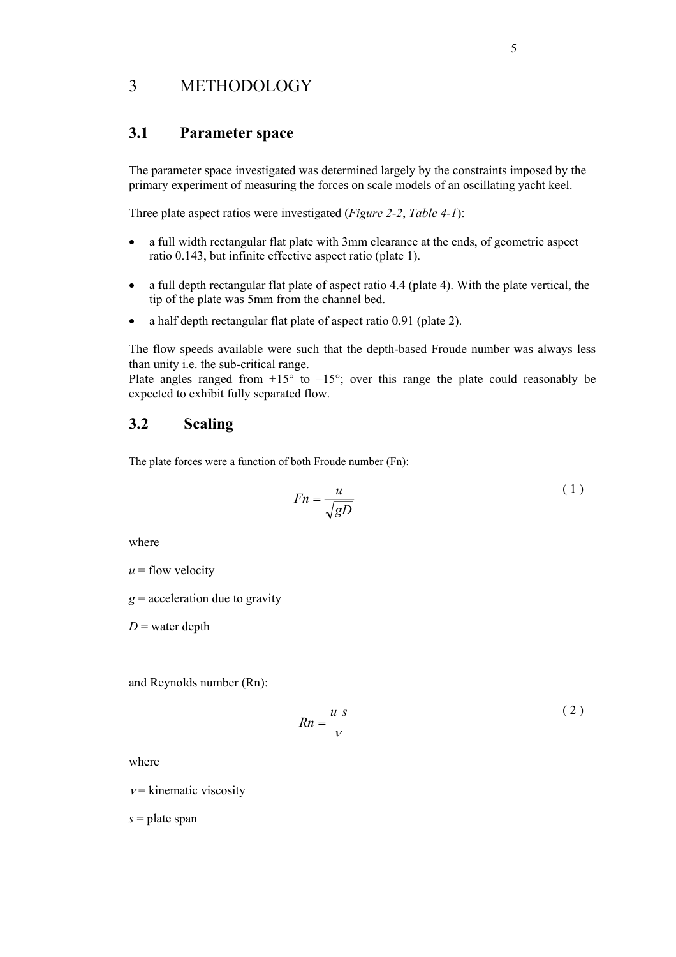### 3 METHODOLOGY

#### **3.1 Parameter space**

The parameter space investigated was determined largely by the constraints imposed by the primary experiment of measuring the forces on scale models of an oscillating yacht keel.

Three plate aspect ratios were investigated (*Figure 2-2*, *Table 4-1*):

- a full width rectangular flat plate with 3mm clearance at the ends, of geometric aspect ratio 0.143, but infinite effective aspect ratio (plate 1).
- a full depth rectangular flat plate of aspect ratio 4.4 (plate 4). With the plate vertical, the tip of the plate was 5mm from the channel bed.
- a half depth rectangular flat plate of aspect ratio 0.91 (plate 2).

The flow speeds available were such that the depth-based Froude number was always less than unity i.e. the sub-critical range.

Plate angles ranged from  $+15^{\circ}$  to  $-15^{\circ}$ ; over this range the plate could reasonably be expected to exhibit fully separated flow.

#### **3.2 Scaling**

The plate forces were a function of both Froude number (Fn):

$$
Fn = \frac{u}{\sqrt{gD}}\tag{1}
$$

where

 $u =$  flow velocity

 $g$  = acceleration due to gravity

 $D$  = water depth

and Reynolds number (Rn):

$$
Rn = \frac{u \, s}{v} \tag{2}
$$

where

 $v =$ kinematic viscosity

 $s =$ plate span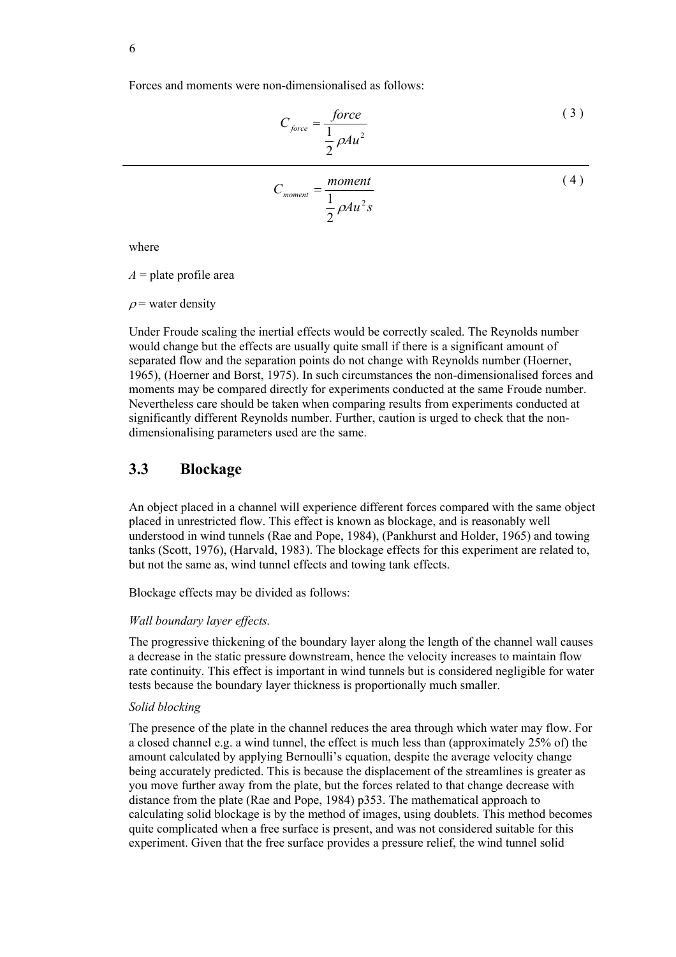Forces and moments were non-dimensionalised as follows:

$$
C_{force} = \frac{force}{\frac{1}{2}\rho A u^2}
$$
 (3)

$$
C_{moment} = \frac{moment}{\frac{1}{2}\rho A u^2 s}
$$
 (4)

where

 $A =$ plate profile area

 $\rho$  = water density

Under Froude scaling the inertial effects would be correctly scaled. The Reynolds number would change but the effects are usually quite small if there is a significant amount of separated flow and the separation points do not change with Reynolds number (Hoerner, 1965), (Hoerner and Borst, 1975). In such circumstances the non-dimensionalised forces and moments may be compared directly for experiments conducted at the same Froude number. Nevertheless care should be taken when comparing results from experiments conducted at significantly different Reynolds number. Further, caution is urged to check that the nondimensionalising parameters used are the same.

#### **3.3 Blockage**

An object placed in a channel will experience different forces compared with the same object placed in unrestricted flow. This effect is known as blockage, and is reasonably well understood in wind tunnels (Rae and Pope, 1984), (Pankhurst and Holder, 1965) and towing tanks (Scott, 1976), (Harvald, 1983). The blockage effects for this experiment are related to, but not the same as, wind tunnel effects and towing tank effects.

Blockage effects may be divided as follows:

#### *Wall boundary layer effects.*

The progressive thickening of the boundary layer along the length of the channel wall causes a decrease in the static pressure downstream, hence the velocity increases to maintain flow rate continuity. This effect is important in wind tunnels but is considered negligible for water tests because the boundary layer thickness is proportionally much smaller.

#### *Solid blocking*

The presence of the plate in the channel reduces the area through which water may flow. For a closed channel e.g. a wind tunnel, the effect is much less than (approximately 25% of) the amount calculated by applying Bernoulli's equation, despite the average velocity change being accurately predicted. This is because the displacement of the streamlines is greater as you move further away from the plate, but the forces related to that change decrease with distance from the plate (Rae and Pope, 1984) p353. The mathematical approach to calculating solid blockage is by the method of images, using doublets. This method becomes quite complicated when a free surface is present, and was not considered suitable for this experiment. Given that the free surface provides a pressure relief, the wind tunnel solid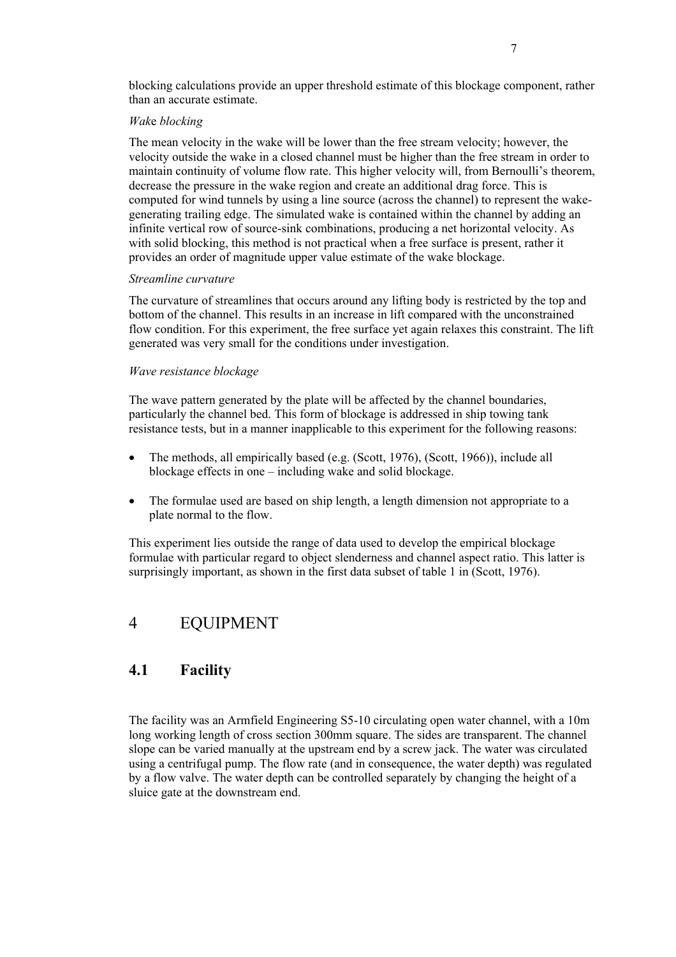blocking calculations provide an upper threshold estimate of this blockage component, rather than an accurate estimate.

#### *Wak*e *blocking*

The mean velocity in the wake will be lower than the free stream velocity; however, the velocity outside the wake in a closed channel must be higher than the free stream in order to maintain continuity of volume flow rate. This higher velocity will, from Bernoulli's theorem, decrease the pressure in the wake region and create an additional drag force. This is computed for wind tunnels by using a line source (across the channel) to represent the wakegenerating trailing edge. The simulated wake is contained within the channel by adding an infinite vertical row of source-sink combinations, producing a net horizontal velocity. As with solid blocking, this method is not practical when a free surface is present, rather it provides an order of magnitude upper value estimate of the wake blockage.

#### *Streamline curvature*

The curvature of streamlines that occurs around any lifting body is restricted by the top and bottom of the channel. This results in an increase in lift compared with the unconstrained flow condition. For this experiment, the free surface yet again relaxes this constraint. The lift generated was very small for the conditions under investigation.

#### *Wave resistance blockage*

The wave pattern generated by the plate will be affected by the channel boundaries, particularly the channel bed. This form of blockage is addressed in ship towing tank resistance tests, but in a manner inapplicable to this experiment for the following reasons:

- The methods, all empirically based (e.g. (Scott, 1976), (Scott, 1966)), include all blockage effects in one – including wake and solid blockage.
- The formulae used are based on ship length, a length dimension not appropriate to a plate normal to the flow.

This experiment lies outside the range of data used to develop the empirical blockage formulae with particular regard to object slenderness and channel aspect ratio. This latter is surprisingly important, as shown in the first data subset of table 1 in (Scott, 1976).

### 4 EQUIPMENT

#### **4.1 Facility**

The facility was an Armfield Engineering S5-10 circulating open water channel, with a 10m long working length of cross section 300mm square. The sides are transparent. The channel slope can be varied manually at the upstream end by a screw jack. The water was circulated using a centrifugal pump. The flow rate (and in consequence, the water depth) was regulated by a flow valve. The water depth can be controlled separately by changing the height of a sluice gate at the downstream end.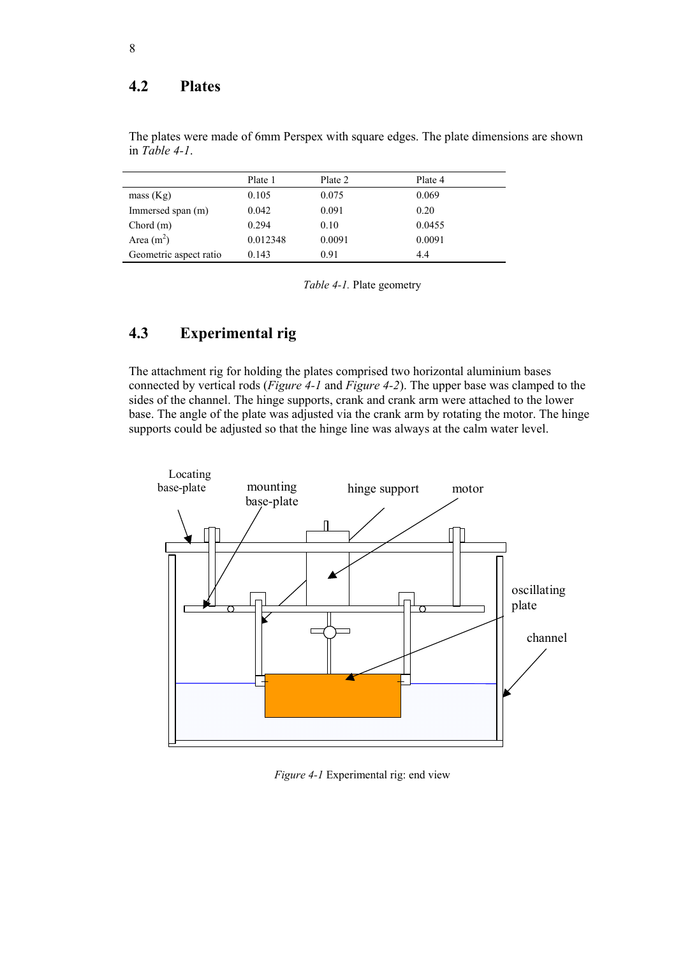#### **4.2 Plates**

|                        | Plate 1  | Plate 2 | Plate 4 |
|------------------------|----------|---------|---------|
| mass (Kg)              | 0.105    | 0.075   | 0.069   |
| Immersed span (m)      | 0.042    | 0.091   | 0.20    |
| Chord $(m)$            | 0.294    | 0.10    | 0.0455  |
| Area $(m2)$            | 0.012348 | 0.0091  | 0.0091  |
| Geometric aspect ratio | 0.143    | 0.91    | 4.4     |

The plates were made of 6mm Perspex with square edges. The plate dimensions are shown in *Table 4-1*.

*Table 4-1.* Plate geometry

# **4.3 Experimental rig**

The attachment rig for holding the plates comprised two horizontal aluminium bases connected by vertical rods (*Figure 4-1* and *Figure 4-2*). The upper base was clamped to the sides of the channel. The hinge supports, crank and crank arm were attached to the lower base. The angle of the plate was adjusted via the crank arm by rotating the motor. The hinge supports could be adjusted so that the hinge line was always at the calm water level.



*Figure 4-1* Experimental rig: end view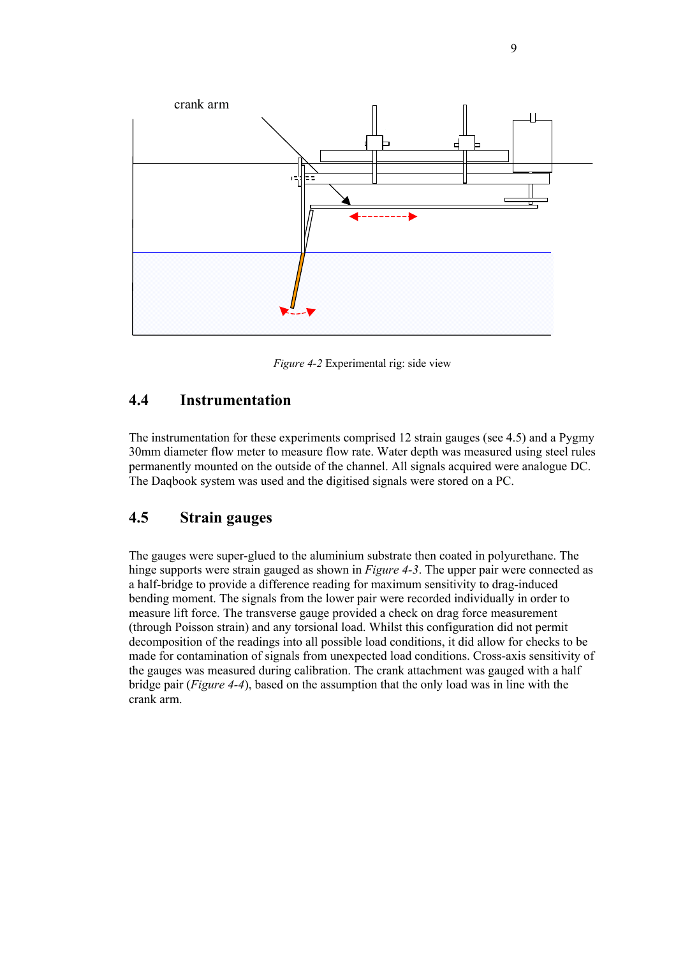

*Figure 4-2* Experimental rig: side view

#### **4.4 Instrumentation**

The instrumentation for these experiments comprised 12 strain gauges (see 4.5) and a Pygmy 30mm diameter flow meter to measure flow rate. Water depth was measured using steel rules permanently mounted on the outside of the channel. All signals acquired were analogue DC. The Daqbook system was used and the digitised signals were stored on a PC.

### **4.5 Strain gauges**

The gauges were super-glued to the aluminium substrate then coated in polyurethane. The hinge supports were strain gauged as shown in *Figure 4-3*. The upper pair were connected as a half-bridge to provide a difference reading for maximum sensitivity to drag-induced bending moment. The signals from the lower pair were recorded individually in order to measure lift force. The transverse gauge provided a check on drag force measurement (through Poisson strain) and any torsional load. Whilst this configuration did not permit decomposition of the readings into all possible load conditions, it did allow for checks to be made for contamination of signals from unexpected load conditions. Cross-axis sensitivity of the gauges was measured during calibration. The crank attachment was gauged with a half bridge pair (*Figure 4-4*), based on the assumption that the only load was in line with the crank arm.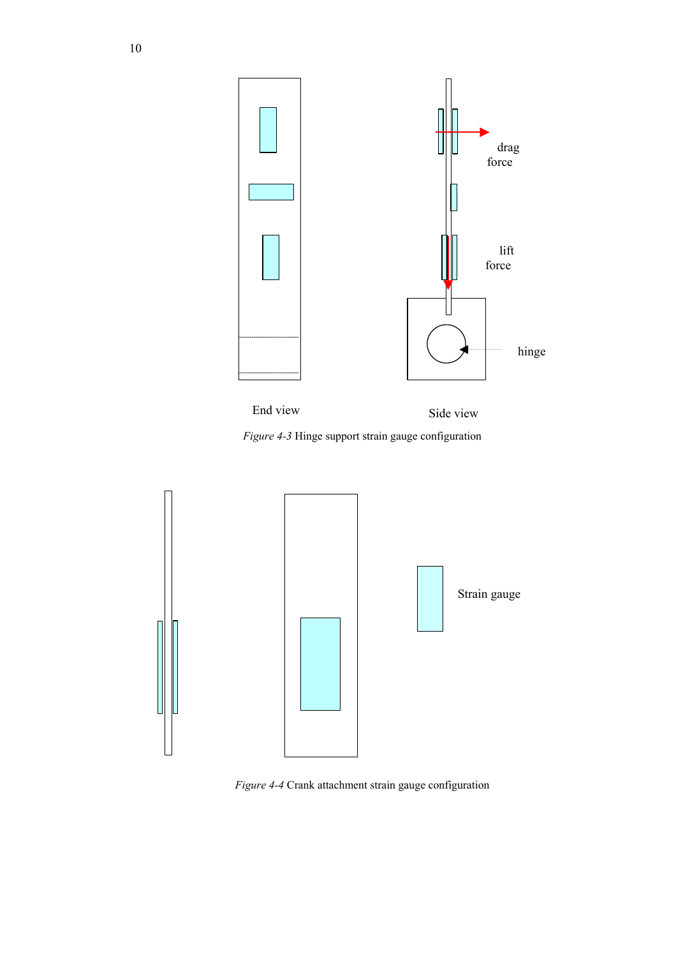





*Figure 4-4* Crank attachment strain gauge configuration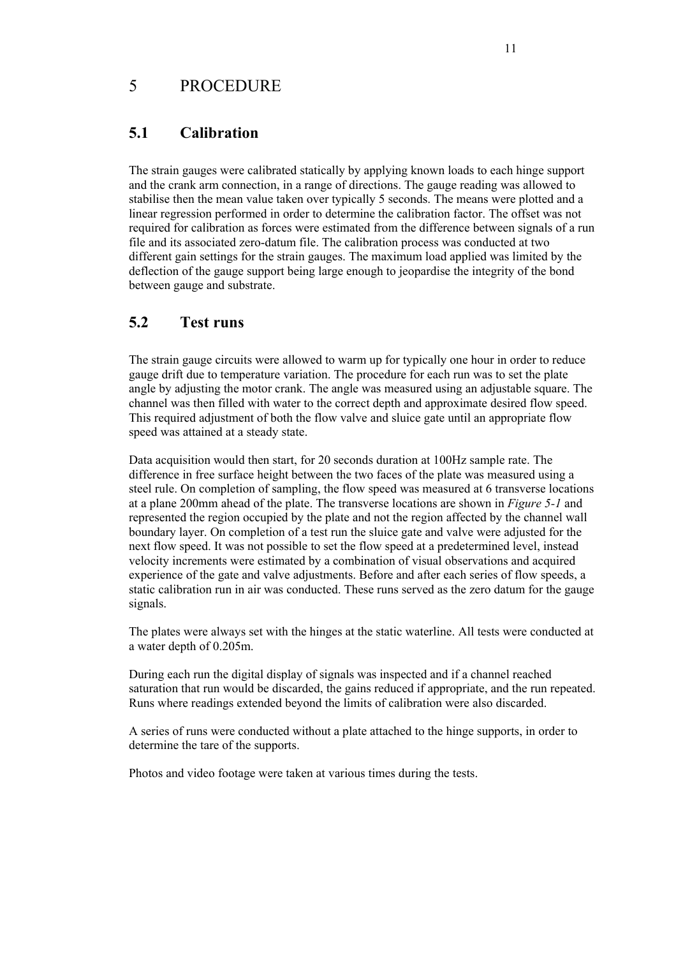#### 5 PROCEDURE

#### **5.1 Calibration**

The strain gauges were calibrated statically by applying known loads to each hinge support and the crank arm connection, in a range of directions. The gauge reading was allowed to stabilise then the mean value taken over typically 5 seconds. The means were plotted and a linear regression performed in order to determine the calibration factor. The offset was not required for calibration as forces were estimated from the difference between signals of a run file and its associated zero-datum file. The calibration process was conducted at two different gain settings for the strain gauges. The maximum load applied was limited by the deflection of the gauge support being large enough to jeopardise the integrity of the bond between gauge and substrate.

#### **5.2 Test runs**

The strain gauge circuits were allowed to warm up for typically one hour in order to reduce gauge drift due to temperature variation. The procedure for each run was to set the plate angle by adjusting the motor crank. The angle was measured using an adjustable square. The channel was then filled with water to the correct depth and approximate desired flow speed. This required adjustment of both the flow valve and sluice gate until an appropriate flow speed was attained at a steady state.

Data acquisition would then start, for 20 seconds duration at 100Hz sample rate. The difference in free surface height between the two faces of the plate was measured using a steel rule. On completion of sampling, the flow speed was measured at 6 transverse locations at a plane 200mm ahead of the plate. The transverse locations are shown in *Figure 5-1* and represented the region occupied by the plate and not the region affected by the channel wall boundary layer. On completion of a test run the sluice gate and valve were adjusted for the next flow speed. It was not possible to set the flow speed at a predetermined level, instead velocity increments were estimated by a combination of visual observations and acquired experience of the gate and valve adjustments. Before and after each series of flow speeds, a static calibration run in air was conducted. These runs served as the zero datum for the gauge signals.

The plates were always set with the hinges at the static waterline. All tests were conducted at a water depth of 0.205m.

During each run the digital display of signals was inspected and if a channel reached saturation that run would be discarded, the gains reduced if appropriate, and the run repeated. Runs where readings extended beyond the limits of calibration were also discarded.

A series of runs were conducted without a plate attached to the hinge supports, in order to determine the tare of the supports.

Photos and video footage were taken at various times during the tests.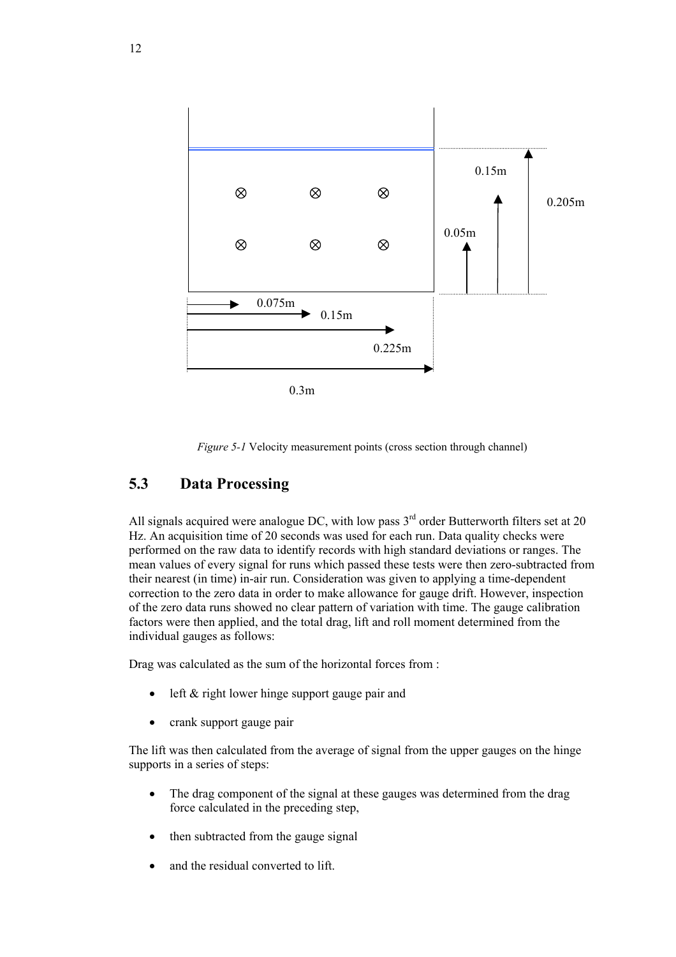

*Figure 5-1* Velocity measurement points (cross section through channel)

### **5.3 Data Processing**

All signals acquired were analogue DC, with low pass  $3<sup>rd</sup>$  order Butterworth filters set at 20 Hz. An acquisition time of 20 seconds was used for each run. Data quality checks were performed on the raw data to identify records with high standard deviations or ranges. The mean values of every signal for runs which passed these tests were then zero-subtracted from their nearest (in time) in-air run. Consideration was given to applying a time-dependent correction to the zero data in order to make allowance for gauge drift. However, inspection of the zero data runs showed no clear pattern of variation with time. The gauge calibration factors were then applied, and the total drag, lift and roll moment determined from the individual gauges as follows:

Drag was calculated as the sum of the horizontal forces from :

- left  $&$  right lower hinge support gauge pair and
- crank support gauge pair

The lift was then calculated from the average of signal from the upper gauges on the hinge supports in a series of steps:

- The drag component of the signal at these gauges was determined from the drag force calculated in the preceding step,
- then subtracted from the gauge signal
- and the residual converted to lift.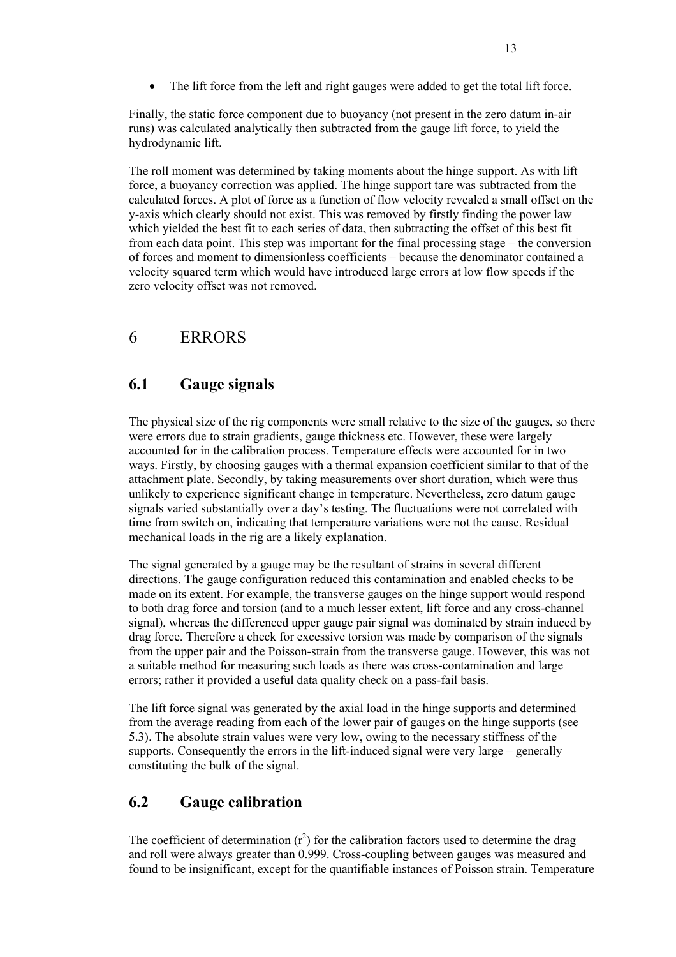• The lift force from the left and right gauges were added to get the total lift force.

Finally, the static force component due to buoyancy (not present in the zero datum in-air runs) was calculated analytically then subtracted from the gauge lift force, to yield the hydrodynamic lift.

The roll moment was determined by taking moments about the hinge support. As with lift force, a buoyancy correction was applied. The hinge support tare was subtracted from the calculated forces. A plot of force as a function of flow velocity revealed a small offset on the y-axis which clearly should not exist. This was removed by firstly finding the power law which yielded the best fit to each series of data, then subtracting the offset of this best fit from each data point. This step was important for the final processing stage – the conversion of forces and moment to dimensionless coefficients – because the denominator contained a velocity squared term which would have introduced large errors at low flow speeds if the zero velocity offset was not removed.

# 6 ERRORS

### **6.1 Gauge signals**

The physical size of the rig components were small relative to the size of the gauges, so there were errors due to strain gradients, gauge thickness etc. However, these were largely accounted for in the calibration process. Temperature effects were accounted for in two ways. Firstly, by choosing gauges with a thermal expansion coefficient similar to that of the attachment plate. Secondly, by taking measurements over short duration, which were thus unlikely to experience significant change in temperature. Nevertheless, zero datum gauge signals varied substantially over a day's testing. The fluctuations were not correlated with time from switch on, indicating that temperature variations were not the cause. Residual mechanical loads in the rig are a likely explanation.

The signal generated by a gauge may be the resultant of strains in several different directions. The gauge configuration reduced this contamination and enabled checks to be made on its extent. For example, the transverse gauges on the hinge support would respond to both drag force and torsion (and to a much lesser extent, lift force and any cross-channel signal), whereas the differenced upper gauge pair signal was dominated by strain induced by drag force. Therefore a check for excessive torsion was made by comparison of the signals from the upper pair and the Poisson-strain from the transverse gauge. However, this was not a suitable method for measuring such loads as there was cross-contamination and large errors; rather it provided a useful data quality check on a pass-fail basis.

The lift force signal was generated by the axial load in the hinge supports and determined from the average reading from each of the lower pair of gauges on the hinge supports (see 5.3). The absolute strain values were very low, owing to the necessary stiffness of the supports. Consequently the errors in the lift-induced signal were very large – generally constituting the bulk of the signal.

#### **6.2 Gauge calibration**

The coefficient of determination  $(r^2)$  for the calibration factors used to determine the drag and roll were always greater than 0.999. Cross-coupling between gauges was measured and found to be insignificant, except for the quantifiable instances of Poisson strain. Temperature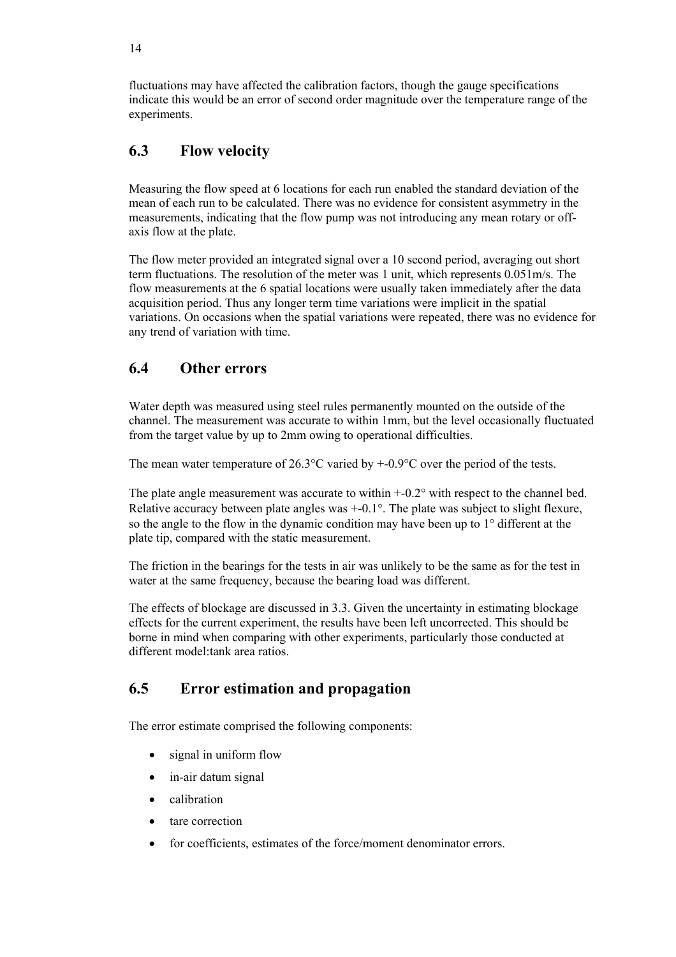fluctuations may have affected the calibration factors, though the gauge specifications indicate this would be an error of second order magnitude over the temperature range of the experiments.

## **6.3 Flow velocity**

Measuring the flow speed at 6 locations for each run enabled the standard deviation of the mean of each run to be calculated. There was no evidence for consistent asymmetry in the measurements, indicating that the flow pump was not introducing any mean rotary or offaxis flow at the plate.

The flow meter provided an integrated signal over a 10 second period, averaging out short term fluctuations. The resolution of the meter was 1 unit, which represents 0.051m/s. The flow measurements at the 6 spatial locations were usually taken immediately after the data acquisition period. Thus any longer term time variations were implicit in the spatial variations. On occasions when the spatial variations were repeated, there was no evidence for any trend of variation with time.

## **6.4 Other errors**

Water depth was measured using steel rules permanently mounted on the outside of the channel. The measurement was accurate to within 1mm, but the level occasionally fluctuated from the target value by up to 2mm owing to operational difficulties.

The mean water temperature of 26.3°C varied by +-0.9°C over the period of the tests.

The plate angle measurement was accurate to within  $+0.2^{\circ}$  with respect to the channel bed. Relative accuracy between plate angles was +-0.1°. The plate was subject to slight flexure, so the angle to the flow in the dynamic condition may have been up to 1° different at the plate tip, compared with the static measurement.

The friction in the bearings for the tests in air was unlikely to be the same as for the test in water at the same frequency, because the bearing load was different.

The effects of blockage are discussed in 3.3. Given the uncertainty in estimating blockage effects for the current experiment, the results have been left uncorrected. This should be borne in mind when comparing with other experiments, particularly those conducted at different model: tank area ratios

### **6.5 Error estimation and propagation**

The error estimate comprised the following components:

- signal in uniform flow
- in-air datum signal
- calibration
- tare correction
- for coefficients, estimates of the force/moment denominator errors.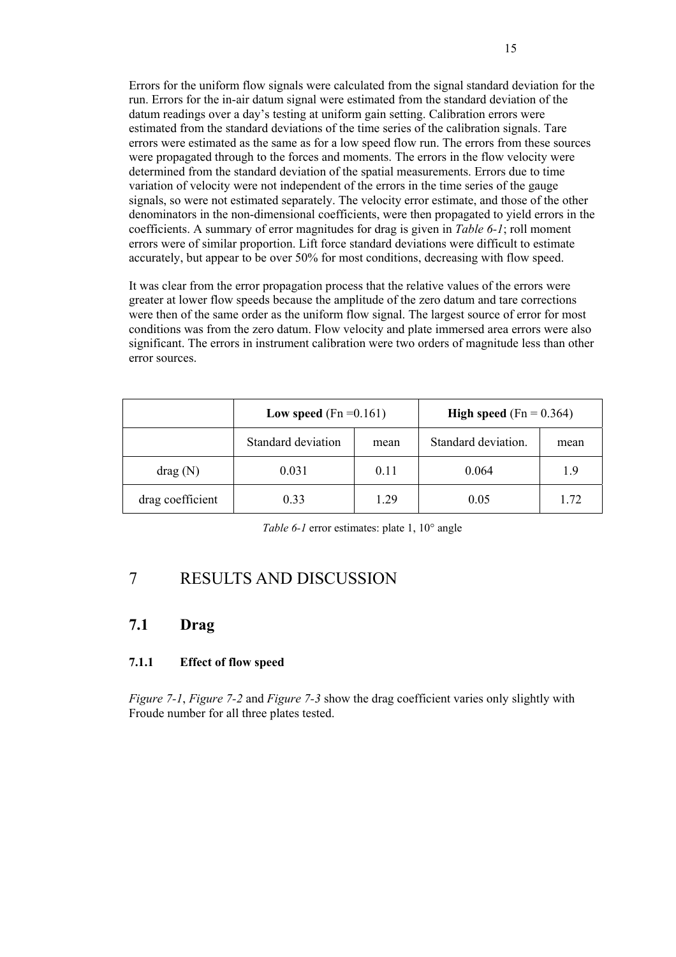Errors for the uniform flow signals were calculated from the signal standard deviation for the run. Errors for the in-air datum signal were estimated from the standard deviation of the datum readings over a day's testing at uniform gain setting. Calibration errors were estimated from the standard deviations of the time series of the calibration signals. Tare errors were estimated as the same as for a low speed flow run. The errors from these sources were propagated through to the forces and moments. The errors in the flow velocity were determined from the standard deviation of the spatial measurements. Errors due to time variation of velocity were not independent of the errors in the time series of the gauge signals, so were not estimated separately. The velocity error estimate, and those of the other denominators in the non-dimensional coefficients, were then propagated to yield errors in the coefficients. A summary of error magnitudes for drag is given in *Table 6-1*; roll moment errors were of similar proportion. Lift force standard deviations were difficult to estimate accurately, but appear to be over 50% for most conditions, decreasing with flow speed.

It was clear from the error propagation process that the relative values of the errors were greater at lower flow speeds because the amplitude of the zero datum and tare corrections were then of the same order as the uniform flow signal. The largest source of error for most conditions was from the zero datum. Flow velocity and plate immersed area errors were also significant. The errors in instrument calibration were two orders of magnitude less than other error sources.

|                  | Low speed $(Fn = 0.161)$ |      | <b>High speed</b> (Fn = $0.364$ ) |      |
|------------------|--------------------------|------|-----------------------------------|------|
|                  | Standard deviation       | mean | Standard deviation.               | mean |
| drag(N)          | 0.031                    | 0.11 | 0.064                             | 1.9  |
| drag coefficient | 0.33                     | 1.29 | 0.05                              | 1.72 |

*Table 6-1* error estimates: plate 1, 10° angle

# 7 RESULTS AND DISCUSSION

#### **7.1 Drag**

#### **7.1.1 Effect of flow speed**

*Figure 7-1*, *Figure 7-2* and *Figure 7-3* show the drag coefficient varies only slightly with Froude number for all three plates tested.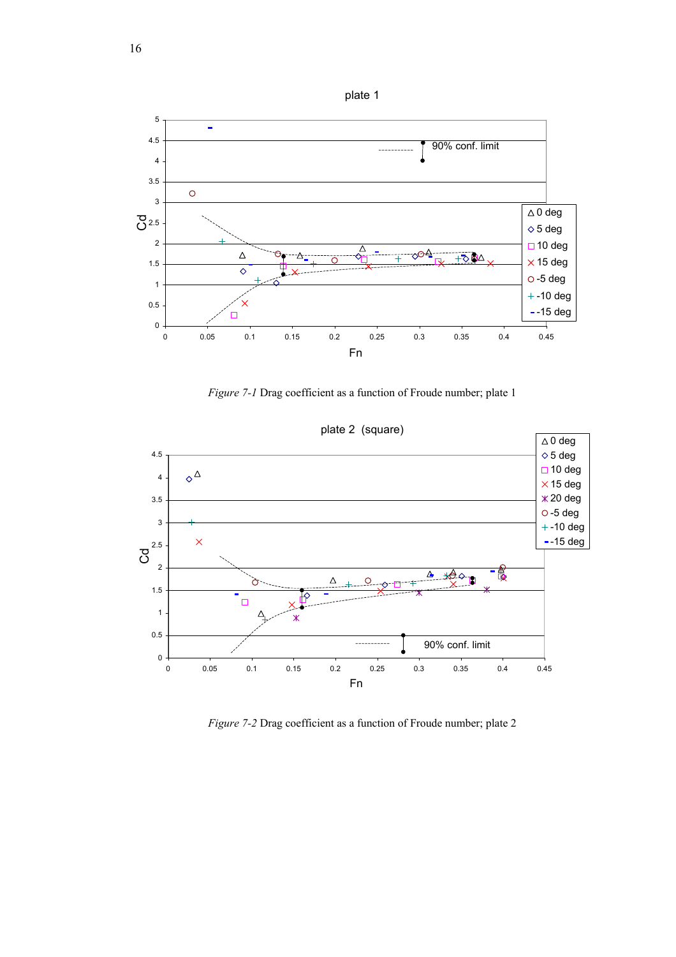

*Figure 7-1* Drag coefficient as a function of Froude number; plate 1



*Figure 7-2* Drag coefficient as a function of Froude number; plate 2

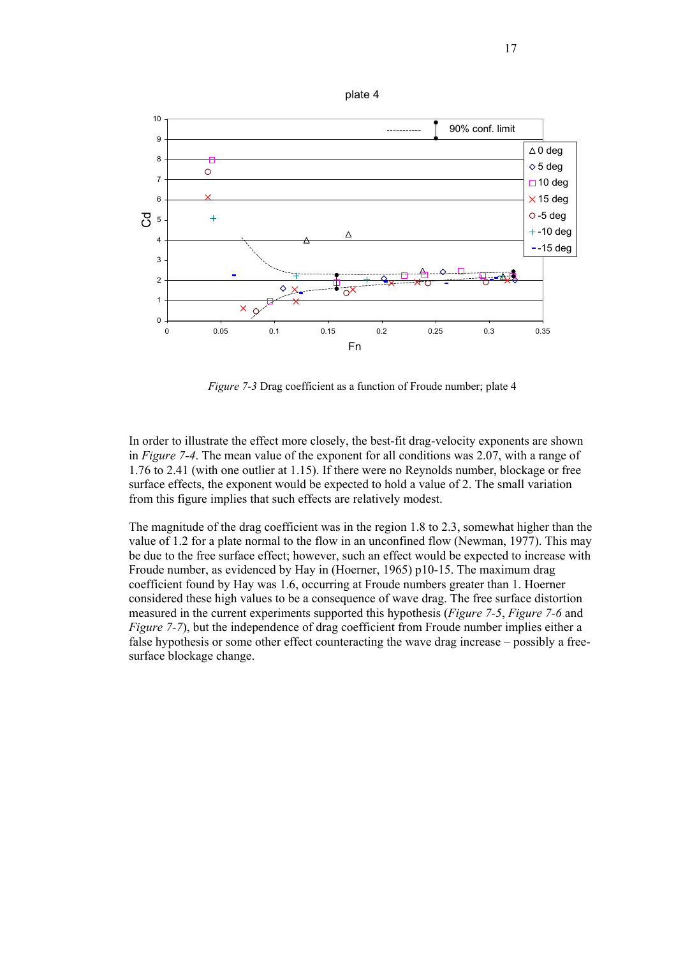

*Figure 7-3* Drag coefficient as a function of Froude number; plate 4

Fn

In order to illustrate the effect more closely, the best-fit drag-velocity exponents are shown in *Figure 7-4*. The mean value of the exponent for all conditions was 2.07, with a range of 1.76 to 2.41 (with one outlier at 1.15). If there were no Reynolds number, blockage or free surface effects, the exponent would be expected to hold a value of 2. The small variation from this figure implies that such effects are relatively modest.

The magnitude of the drag coefficient was in the region 1.8 to 2.3, somewhat higher than the value of 1.2 for a plate normal to the flow in an unconfined flow (Newman, 1977). This may be due to the free surface effect; however, such an effect would be expected to increase with Froude number, as evidenced by Hay in (Hoerner, 1965) p10-15. The maximum drag coefficient found by Hay was 1.6, occurring at Froude numbers greater than 1. Hoerner considered these high values to be a consequence of wave drag. The free surface distortion measured in the current experiments supported this hypothesis (*Figure 7-5*, *Figure 7-6* and *Figure 7-7*), but the independence of drag coefficient from Froude number implies either a false hypothesis or some other effect counteracting the wave drag increase – possibly a freesurface blockage change.

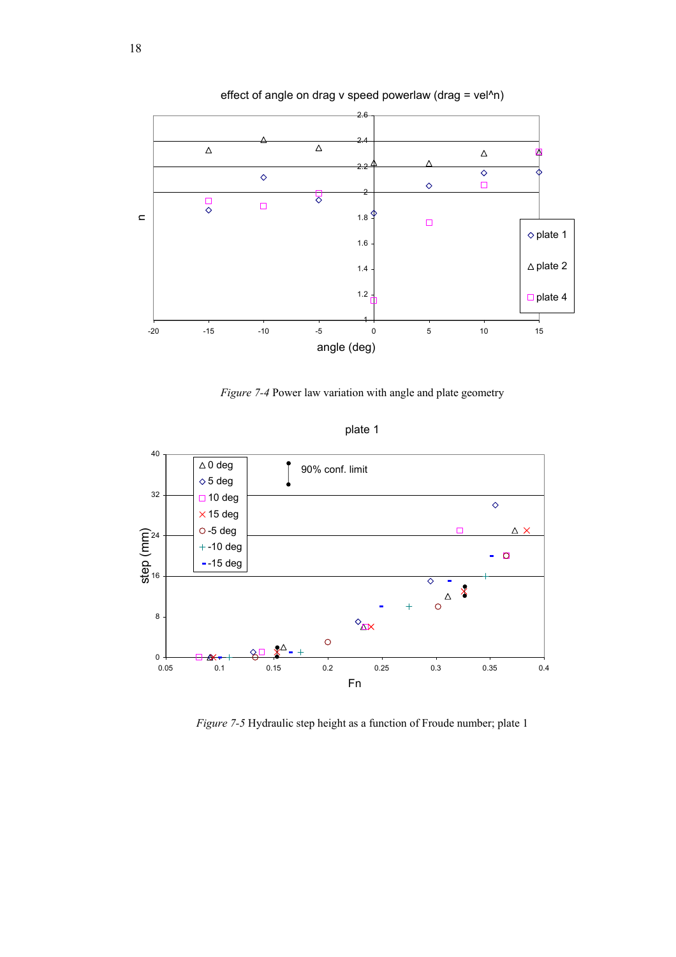

effect of angle on drag v speed powerlaw (drag = vel^n)

*Figure 7-4* Power law variation with angle and plate geometry



plate 1

*Figure 7-5* Hydraulic step height as a function of Froude number; plate 1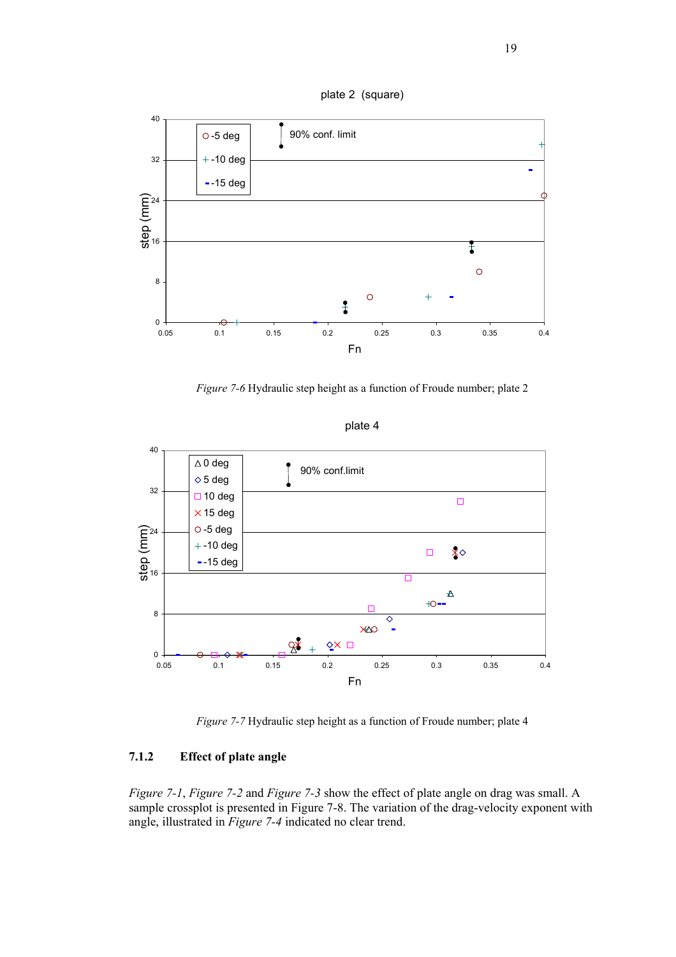

*Figure 7-6* Hydraulic step height as a function of Froude number; plate 2



plate 4

*Figure 7-7* Hydraulic step height as a function of Froude number; plate 4

#### **7.1.2 Effect of plate angle**

*Figure 7-1*, *Figure 7-2* and *Figure 7-3* show the effect of plate angle on drag was small. A sample crossplot is presented in Figure 7-8. The variation of the drag-velocity exponent with angle, illustrated in *Figure 7-4* indicated no clear trend.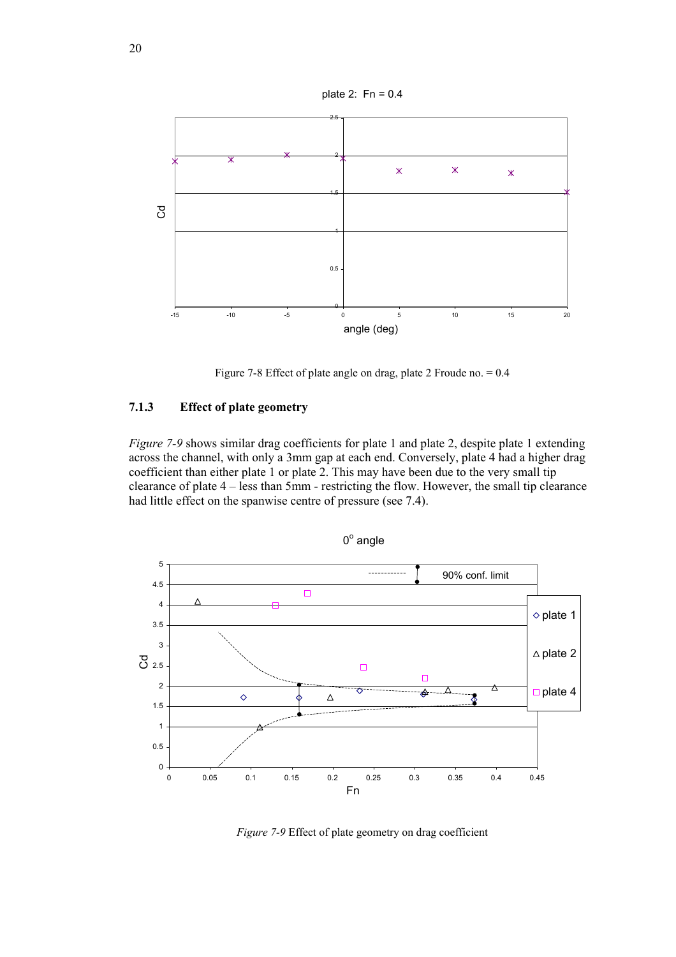

Figure 7-8 Effect of plate angle on drag, plate 2 Froude no. = 0.4

#### **7.1.3 Effect of plate geometry**

*Figure 7-9* shows similar drag coefficients for plate 1 and plate 2, despite plate 1 extending across the channel, with only a 3mm gap at each end. Conversely, plate 4 had a higher drag coefficient than either plate 1 or plate 2. This may have been due to the very small tip clearance of plate 4 – less than 5mm - restricting the flow. However, the small tip clearance had little effect on the spanwise centre of pressure (see 7.4).



*Figure 7-9* Effect of plate geometry on drag coefficient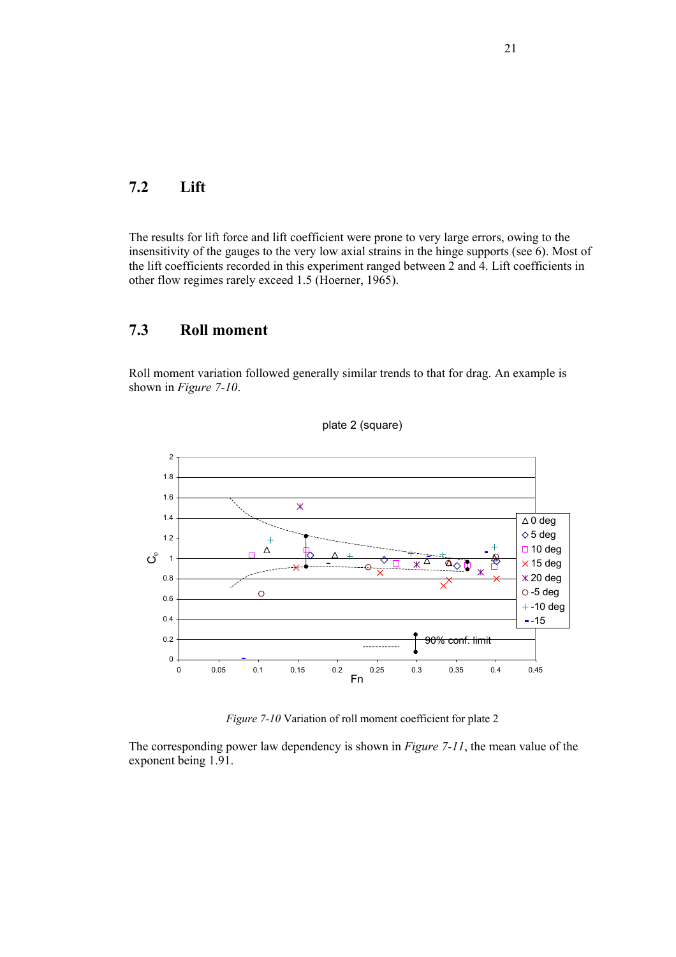#### **7.2 Lift**

The results for lift force and lift coefficient were prone to very large errors, owing to the insensitivity of the gauges to the very low axial strains in the hinge supports (see 6). Most of the lift coefficients recorded in this experiment ranged between 2 and 4. Lift coefficients in other flow regimes rarely exceed 1.5 (Hoerner, 1965).

#### **7.3 Roll moment**

Roll moment variation followed generally similar trends to that for drag. An example is shown in *Figure 7-10*.





*Figure 7-10* Variation of roll moment coefficient for plate 2

The corresponding power law dependency is shown in *Figure 7-11*, the mean value of the exponent being 1.91.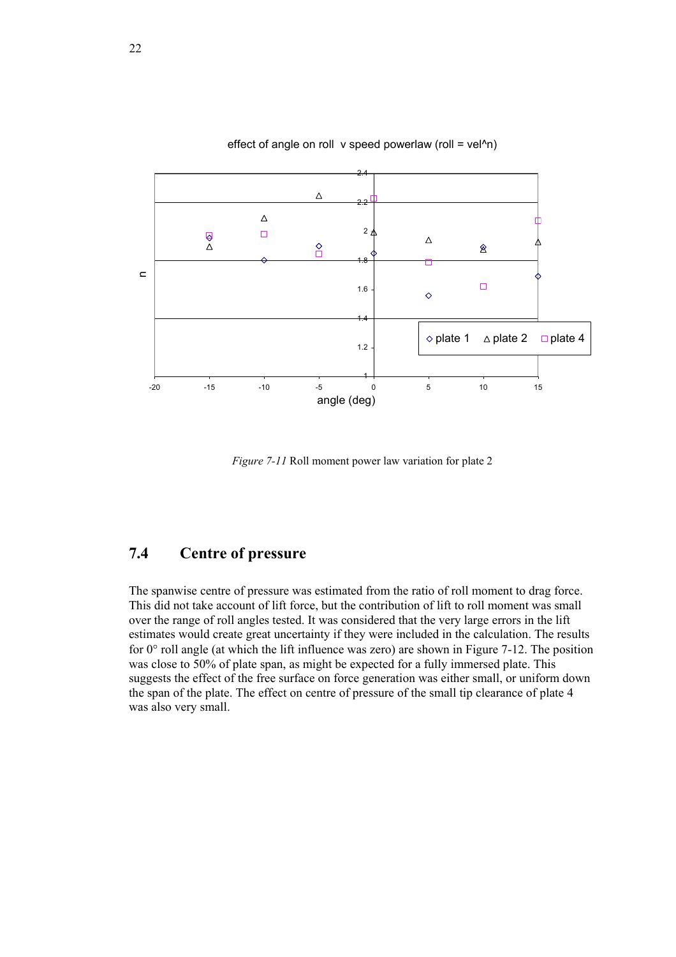

#### effect of angle on roll v speed powerlaw (roll =  $vel^2n$ )

*Figure 7-11* Roll moment power law variation for plate 2

### **7.4 Centre of pressure**

The spanwise centre of pressure was estimated from the ratio of roll moment to drag force. This did not take account of lift force, but the contribution of lift to roll moment was small over the range of roll angles tested. It was considered that the very large errors in the lift estimates would create great uncertainty if they were included in the calculation. The results for 0° roll angle (at which the lift influence was zero) are shown in Figure 7-12. The position was close to 50% of plate span, as might be expected for a fully immersed plate. This suggests the effect of the free surface on force generation was either small, or uniform down the span of the plate. The effect on centre of pressure of the small tip clearance of plate 4 was also very small.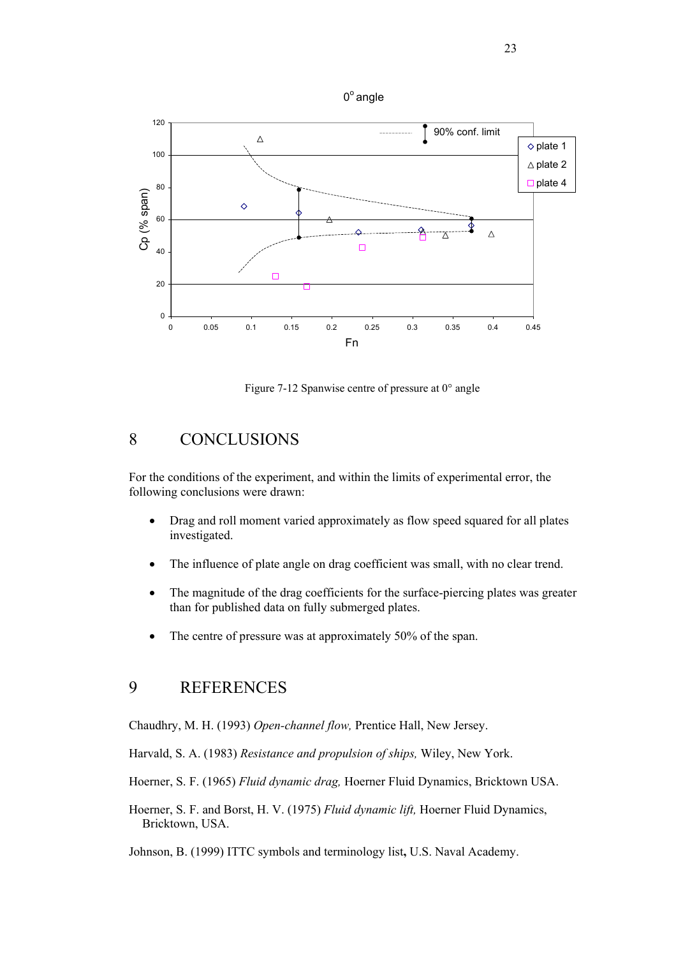

Figure 7-12 Spanwise centre of pressure at 0° angle

#### 8 CONCLUSIONS

For the conditions of the experiment, and within the limits of experimental error, the following conclusions were drawn:

- Drag and roll moment varied approximately as flow speed squared for all plates investigated.
- The influence of plate angle on drag coefficient was small, with no clear trend.
- The magnitude of the drag coefficients for the surface-piercing plates was greater than for published data on fully submerged plates.
- The centre of pressure was at approximately 50% of the span.

### 9 REFERENCES

Chaudhry, M. H. (1993) *Open-channel flow,* Prentice Hall, New Jersey.

Harvald, S. A. (1983) *Resistance and propulsion of ships,* Wiley, New York.

Hoerner, S. F. (1965) *Fluid dynamic drag,* Hoerner Fluid Dynamics, Bricktown USA.

Hoerner, S. F. and Borst, H. V. (1975) *Fluid dynamic lift,* Hoerner Fluid Dynamics, Bricktown, USA.

Johnson, B. (1999) ITTC symbols and terminology list**,** U.S. Naval Academy.